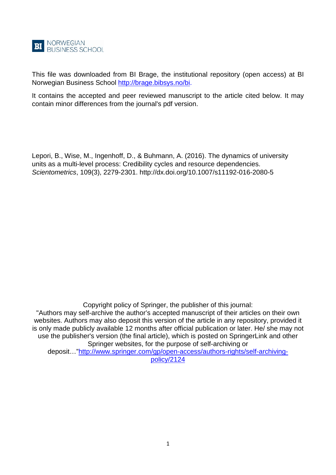

This file was downloaded from BI Brage, the institutional repository (open access) at BI Norwegian Business School [http://brage.bibsys.no/bi.](http://brage.bibsys.no/bi)

It contains the accepted and peer reviewed manuscript to the article cited below. It may contain minor differences from the journal's pdf version.

Lepori, B., Wise, M., Ingenhoff, D., & Buhmann, A. (2016). The dynamics of university units as a multi-level process: Credibility cycles and resource dependencies. *Scientometrics*, 109(3), 2279-2301. http://dx.doi.org/10.1007/s11192-016-2080-5

Copyright policy of Springer, the publisher of this journal:

"Authors may self-archive the author's accepted manuscript of their articles on their own websites. Authors may also deposit this version of the article in any repository, provided it is only made publicly available 12 months after official publication or later. He/ she may not use the publisher's version (the final article), which is posted on SpringerLink and other Springer websites, for the purpose of self-archiving or

deposit…["http://www.springer.com/gp/open-access/authors-rights/self-archiving](http://www.springer.com/gp/open-access/authors-rights/self-archiving-policy/2124)[policy/2124](http://www.springer.com/gp/open-access/authors-rights/self-archiving-policy/2124)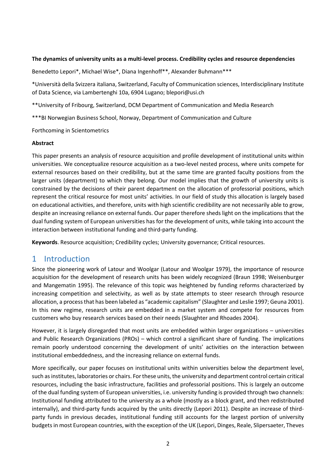#### **The dynamics of university units as a multi‐level process. Credibility cycles and resource dependencies**

Benedetto Lepori\*, Michael Wise\*, Diana Ingenhoff\*\*, Alexander Buhmann\*\*\*

\*Università della Svizzera italiana, Switzerland, Faculty of Communication sciences, Interdisciplinary Institute of Data Science, via Lambertenghi 10a, 6904 Lugano; blepori@usi.ch

\*\*University of Fribourg, Switzerland, DCM Department of Communication and Media Research

\*\*\*BI Norwegian Business School, Norway, Department of Communication and Culture

Forthcoming in Scientometrics

#### **Abstract**

This paper presents an analysis of resource acquisition and profile development of institutional units within universities. We conceptualize resource acquisition as a two-level nested process, where units compete for external resources based on their credibility, but at the same time are granted faculty positions from the larger units (department) to which they belong. Our model implies that the growth of university units is constrained by the decisions of their parent department on the allocation of professorial positions, which represent the critical resource for most units' activities. In our field of study this allocation is largely based on educational activities, and therefore, units with high scientific credibility are not necessarily able to grow, despite an increasing reliance on external funds. Our paper therefore sheds light on the implications that the dual funding system of European universities has for the development of units, while taking into account the interaction between institutional funding and third-party funding.

**Keywords**. Resource acquisition; Credibility cycles; University governance; Critical resources.

### 1 Introduction

Since the pioneering work of Latour and Woolgar (Latour and Woolgar 1979), the importance of resource acquisition for the development of research units has been widely recognized (Braun 1998; Weisenburger and Mangematin 1995). The relevance of this topic was heightened by funding reforms characterized by increasing competition and selectivity, as well as by state attempts to steer research through resource allocation, a process that has been labeled as "academic capitalism" (Slaughter and Leslie 1997; Geuna 2001). In this new regime, research units are embedded in a market system and compete for resources from customers who buy research services based on their needs (Slaughter and Rhoades 2004).

However, it is largely disregarded that most units are embedded within larger organizations – universities and Public Research Organizations (PROs) – which control a significant share of funding. The implications remain poorly understood concerning the development of units' activities on the interaction between institutional embeddedness, and the increasing reliance on external funds.

More specifically, our paper focuses on institutional units within universities below the department level, such as institutes, laboratories or chairs. For these units, the university and department control certain critical resources, including the basic infrastructure, facilities and professorial positions. This is largely an outcome of the dual funding system of European universities, i.e. university funding is provided through two channels: Institutional funding attributed to the university as a whole (mostly as a block grant, and then redistributed internally), and third-party funds acquired by the units directly (Lepori 2011). Despite an increase of thirdparty funds in previous decades, institutional funding still accounts for the largest portion of university budgets in most European countries, with the exception of the UK (Lepori, Dinges, Reale, Slipersaeter, Theves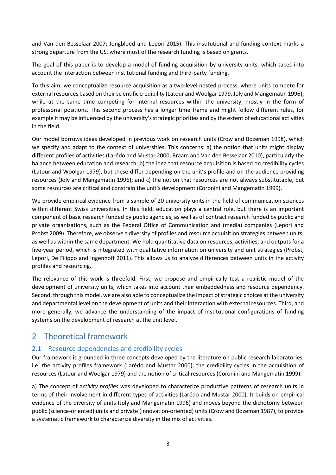and Van den Besselaar 2007; Jongbloed and Lepori 2015). This institutional and funding context marks a strong departure from the US, where most of the research funding is based on grants.

The goal of this paper is to develop a model of funding acquisition by university units, which takes into account the interaction between institutional funding and third-party funding.

To this aim, we conceptualize resource acquisition as a two-level nested process, where units compete for external resources based on their scientific credibility (Latour and Woolgar 1979, Joly and Mangematin 1996), while at the same time competing for internal resources within the university, mostly in the form of professorial positions. This second process has a longer time frame and might follow different rules, for example it may be influenced by the university's strategic priorities and by the extent of educational activities in the field.

Our model borrows ideas developed in previous work on research units (Crow and Bozeman 1998), which we specify and adapt to the context of universities. This concerns: a) the notion that units might display different profiles of activities (Larédo and Mustar 2000, Braam and Van den Besselaar 2010), particularly the balance between education and research; b) the idea that resource acquisition is based on credibility cycles (Latour and Woolgar 1979), but these differ depending on the unit's profile and on the audience providing resources (Joly and Mangematin 1996); and c) the notion that resources are not always substitutable, but some resources are critical and constrain the unit's development (Coronini and Mangematin 1999).

We provide empirical evidence from a sample of 20 university units in the field of communication sciences within different Swiss universities. In this field, education plays a central role, but there is an important component of basic research funded by public agencies, as well as of contract research funded by public and private organizations, such as the Federal Office of Communication and (media) companies (Lepori and Probst 2009). Therefore, we observe a diversity of profiles and resource acquisition strategies between units, as well as within the same department. We hold quantitative data on resources, activities, and outputs for a five-year period, which is integrated with qualitative information on university and unit strategies (Probst, Lepori, De Filippo and Ingenhoff 2011). This allows us to analyze differences between units in the activity profiles and resourcing.

The relevance of this work is threefold. First, we propose and empirically test a realistic model of the development of university units, which takes into account their embeddedness and resource dependency. Second, through this model, we are also able to conceptualize the impact of strategic choices at the university and departmental level on the development of units and their interaction with external resources. Third, and more generally, we advance the understanding of the impact of institutional configurations of funding systems on the development of research at the unit level.

## 2 Theoretical framework

### 2.1 Resource dependencies and credibility cycles

Our framework is grounded in three concepts developed by the literature on public research laboratories, i.e. the activity profiles framework (Larédo and Mustar 2000), the credibility cycles in the acquisition of resources (Latour and Woolgar 1979) and the notion of critical resources (Coronini and Mangematin 1999).

a) The concept of a*ctivity profiles* was developed to characterize productive patterns of research units in terms of their involvement in different types of activities (Larédo and Mustar 2000). It builds on empirical evidence of the diversity of units (Joly and Mangematin 1996) and moves beyond the dichotomy between public (science-oriented) units and private (innovation-oriented) units (Crow and Bozeman 1987), to provide a systematic framework to characterize diversity in the mix of activities.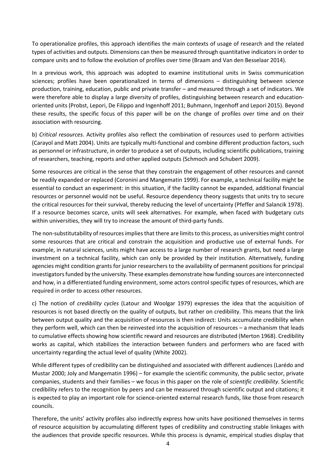To operationalize profiles, this approach identifies the main contexts of usage of research and the related types of activities and outputs. Dimensions can then be measured through quantitative indicators in order to compare units and to follow the evolution of profiles over time (Braam and Van den Besselaar 2014).

In a previous work, this approach was adopted to examine institutional units in Swiss communication sciences; profiles have been operationalized in terms of dimensions – distinguishing between science production, training, education, public and private transfer – and measured through a set of indicators. We were therefore able to display a large diversity of profiles, distinguishing between research and educationoriented units (Probst, Lepori, De Filippo and Ingenhoff 2011; Buhmann, Ingenhoff and Lepori 2015). Beyond these results, the specific focus of this paper will be on the change of profiles over time and on their association with resourcing.

b) *Critical resources*. Activity profiles also reflect the combination of resources used to perform activities (Carayol and Matt 2004). Units are typically multi-functional and combine different production factors, such as personnel or infrastructure, in order to produce a set of outputs, including scientific publications, training of researchers, teaching, reports and other applied outputs (Schmoch and Schubert 2009).

Some resources are critical in the sense that they constrain the engagement of other resources and cannot be readily expanded or replaced (Coronini and Mangematin 1999). For example, a technical facility might be essential to conduct an experiment: in this situation, if the facility cannot be expanded, additional financial resources or personnel would not be useful. Resource dependency theory suggests that units try to secure the critical resources for their survival, thereby reducing the level of uncertainty (Pfeffer and Salancik 1978). If a resource becomes scarce, units will seek alternatives. For example, when faced with budgetary cuts within universities, they will try to increase the amount of third-party funds.

The non-substitutability of resources implies that there are limits to this process, as universities might control some resources that are critical and constrain the acquisition and productive use of external funds. For example, in natural sciences, units might have access to a large number of research grants, but need a large investment on a technical facility, which can only be provided by their institution. Alternatively, funding agencies might condition grants for junior researchers to the availability of permanent positions for principal investigators funded by the university. These examples demonstrate how funding sources are interconnected and how, in a differentiated funding environment, some actors control specific types of resources, which are required in order to access other resources.

c) The notion of *credibility cycles* (Latour and Woolgar 1979) expresses the idea that the acquisition of resources is not based directly on the quality of outputs, but rather on credibility. This means that the link between output quality and the acquisition of resources is then indirect: Units accumulate credibility when they perform well, which can then be reinvested into the acquisition of resources – a mechanism that leads to cumulative effects showing how scientific reward and resources are distributed (Merton 1968). Credibility works as capital, which stabilizes the interaction between funders and performers who are faced with uncertainty regarding the actual level of quality (White 2002).

While different types of credibility can be distinguished and associated with different audiences (Larédo and Mustar 2000; Joly and Mangematin 1996) – for example the scientific community, the public sector, private companies, students and their families – we focus in this paper on the role of *scientific credibility*. Scientific credibility refers to the recognition by peers and can be measured through scientific output and citations; it is expected to play an important role for science-oriented external research funds, like those from research councils.

Therefore, the units' activity profiles also indirectly express how units have positioned themselves in terms of resource acquisition by accumulating different types of credibility and constructing stable linkages with the audiences that provide specific resources. While this process is dynamic, empirical studies display that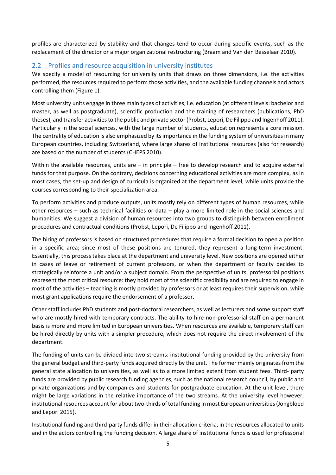profiles are characterized by stability and that changes tend to occur during specific events, such as the replacement of the director or a major organizational restructuring (Braam and Van den Besselaar 2010).

### 2.2 Profiles and resource acquisition in university institutes

We specify a model of resourcing for university units that draws on three dimensions, i.e. the activities performed, the resources required to perform those activities, and the available funding channels and actors controlling them [\(Figure 1\)](#page-5-0).

Most university units engage in three main types of activities, i.e. education (at different levels: bachelor and master, as well as postgraduate), scientific production and the training of researchers (publications, PhD theses), and transfer activities to the public and private sector(Probst, Lepori, De Filippo and Ingenhoff 2011). Particularly in the social sciences, with the large number of students, education represents a core mission. The centrality of education is also emphasized by itsimportance in the funding system of universities in many European countries, including Switzerland, where large shares of institutional resources (also for research) are based on the number of students (CHEPS 2010).

Within the available resources, units are – in principle – free to develop research and to acquire external funds for that purpose. On the contrary, decisions concerning educational activities are more complex, as in most cases, the set-up and design of curricula is organized at the department level, while units provide the courses corresponding to their specialization area.

To perform activities and produce outputs, units mostly rely on different types of human resources, while other resources – such as technical facilities or data – play a more limited role in the social sciences and humanities. We suggest a division of human resources into two groups to distinguish between enrollment procedures and contractual conditions (Probst, Lepori, De Filippo and Ingenhoff 2011).

The hiring of professors is based on structured procedures that require a formal decision to open a position in a specific area; since most of these positions are tenured, they represent a long-term investment. Essentially, this process takes place at the department and university level. New positions are opened either in cases of leave or retirement of current professors, or when the department or faculty decides to strategically reinforce a unit and/or a subject domain. From the perspective of units, professorial positions represent the most critical resource: they hold most of the scientific credibility and are required to engage in most of the activities – teaching is mostly provided by professors or at least requires their supervision, while most grant applications require the endorsement of a professor.

Other staff includes PhD students and post-doctoral researchers, as well as lecturers and some support staff who are mostly hired with temporary contracts. The ability to hire non-professorial staff on a permanent basis is more and more limited in European universities. When resources are available, temporary staff can be hired directly by units with a simpler procedure, which does not require the direct involvement of the department.

The funding of units can be divided into two streams: institutional funding provided by the university from the general budget and third-party funds acquired directly by the unit. The former mainly originates from the general state allocation to universities, as well as to a more limited extent from student fees. Third- party funds are provided by public research funding agencies, such as the national research council, by public and private organizations and by companies and students for postgraduate education. At the unit level, there might be large variations in the relative importance of the two streams. At the university level however, institutional resources account for about two-thirds of total funding in most European universities (Jongbloed and Lepori 2015).

Institutional funding and third-party funds differ in their allocation criteria, in the resources allocated to units and in the actors controlling the funding decision. A large share of institutional funds is used for professorial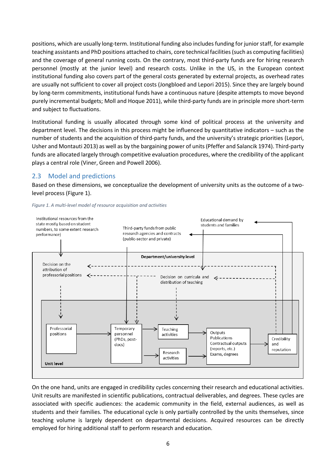positions, which are usually long-term. Institutional funding also includes funding for junior staff, for example teaching assistants and PhD positions attached to chairs, core technical facilities (such as computing facilities) and the coverage of general running costs. On the contrary, most third-party funds are for hiring research personnel (mostly at the junior level) and research costs. Unlike in the US, in the European context institutional funding also covers part of the general costs generated by external projects, as overhead rates are usually not sufficient to cover all project costs (Jongbloed and Lepori 2015). Since they are largely bound by long-term commitments, institutional funds have a continuous nature (despite attempts to move beyond purely incremental budgets; Moll and Hoque 2011), while third-party funds are in principle more short-term and subject to fluctuations.

Institutional funding is usually allocated through some kind of political process at the university and department level. The decisions in this process might be influenced by quantitative indicators – such as the number of students and the acquisition of third-party funds, and the university's strategic priorities (Lepori, Usher and Montauti 2013) as well as by the bargaining power of units (Pfeffer and Salancik 1974). Third-party funds are allocated largely through competitive evaluation procedures, where the credibility of the applicant plays a central role (Viner, Green and Powell 2006).

### 2.3 Model and predictions

Based on these dimensions, we conceptualize the development of university units as the outcome of a twolevel process [\(Figure 1\)](#page-5-0).



<span id="page-5-0"></span>*Figure 1. A multi-level model of resource acquisition and activities*

On the one hand, units are engaged in credibility cycles concerning their research and educational activities. Unit results are manifested in scientific publications, contractual deliverables, and degrees. These cycles are associated with specific audiences: the academic community in the field, external audiences, as well as students and their families. The educational cycle is only partially controlled by the units themselves, since teaching volume is largely dependent on departmental decisions. Acquired resources can be directly employed for hiring additional staff to perform research and education.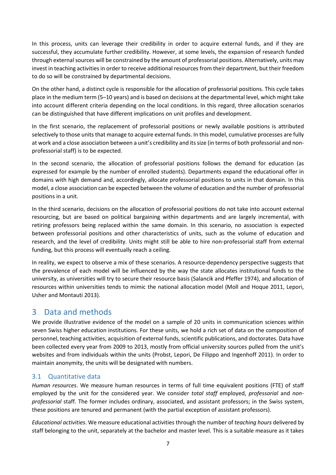In this process, units can leverage their credibility in order to acquire external funds, and if they are successful, they accumulate further credibility. However, at some levels, the expansion of research funded through external sources will be constrained by the amount of professorial positions. Alternatively, units may invest in teaching activities in order to receive additional resources from their department, but their freedom to do so will be constrained by departmental decisions.

On the other hand, a distinct cycle is responsible for the allocation of professorial positions. This cycle takes place in the medium term (5–10 years) and is based on decisions at the departmental level, which might take into account different criteria depending on the local conditions. In this regard, three allocation scenarios can be distinguished that have different implications on unit profiles and development.

In the first scenario, the replacement of professorial positions or newly available positions is attributed selectively to those units that manage to acquire external funds. In this model, cumulative processes are fully at work and a close association between a unit's credibility and itssize (in terms of both professorial and nonprofessorial staff) is to be expected.

In the second scenario, the allocation of professorial positions follows the demand for education (as expressed for example by the number of enrolled students). Departments expand the educational offer in domains with high demand and, accordingly, allocate professorial positions to units in that domain. In this model, a close association can be expected between the volume of education and the number of professorial positions in a unit.

In the third scenario, decisions on the allocation of professorial positions do not take into account external resourcing, but are based on political bargaining within departments and are largely incremental, with retiring professors being replaced within the same domain. In this scenario, no association is expected between professorial positions and other characteristics of units, such as the volume of education and research, and the level of credibility. Units might still be able to hire non-professorial staff from external funding, but this process will eventually reach a ceiling.

In reality, we expect to observe a mix of these scenarios. A resource-dependency perspective suggests that the prevalence of each model will be influenced by the way the state allocates institutional funds to the university, as universities will try to secure their resource basis (Salancik and Pfeffer 1974), and allocation of resources within universities tends to mimic the national allocation model (Moll and Hoque 2011, Lepori, Usher and Montauti 2013).

# 3 Data and methods

We provide illustrative evidence of the model on a sample of 20 units in communication sciences within seven Swiss higher education institutions. For these units, we hold a rich set of data on the composition of personnel, teaching activities, acquisition of external funds, scientific publications, and doctorates. Data have been collected every year from 2009 to 2013, mostly from official university sources pulled from the unit's websites and from individuals within the units (Probst, Lepori, De Filippo and Ingenhoff 2011). In order to maintain anonymity, the units will be designated with numbers.

### 3.1 Quantitative data

*Human resources*. We measure human resources in terms of full time equivalent positions (FTE) of staff employed by the unit for the considered year. We consider *total staff* employed, *professorial* and *nonprofessorial* staff. The former includes ordinary, associated, and assistant professors; in the Swiss system, these positions are tenured and permanent (with the partial exception of assistant professors).

*Educational activities*. We measure educational activities through the number of *teaching hours* delivered by staff belonging to the unit, separately at the bachelor and master level. This is a suitable measure as it takes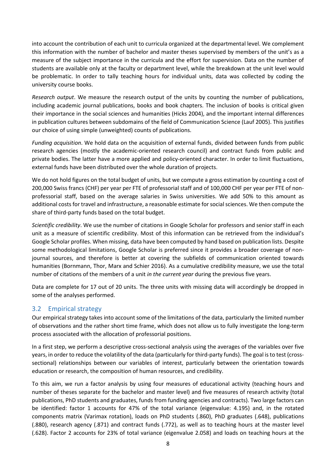into account the contribution of each unit to curricula organized at the departmental level. We complement this information with the number of bachelor and master theses supervised by members of the unit's as a measure of the subject importance in the curricula and the effort for supervision. Data on the number of students are available only at the faculty or department level, while the breakdown at the unit level would be problematic. In order to tally teaching hours for individual units, data was collected by coding the university course books.

*Research output*. We measure the research output of the units by counting the number of publications, including academic journal publications, books and book chapters. The inclusion of books is critical given their importance in the social sciences and humanities (Hicks 2004), and the important internal differences in publication cultures between subdomains of the field of Communication Science (Lauf 2005). This justifies our choice of using simple (unweighted) counts of publications.

*Funding acquisition*. We hold data on the acquisition of external funds, divided between funds from public research agencies (mostly the academic-oriented research council) and contract funds from public and private bodies. The latter have a more applied and policy-oriented character. In order to limit fluctuations, external funds have been distributed over the whole duration of projects.

We do not hold figures on the total budget of units, but we compute a gross estimation by counting a cost of 200,000 Swiss francs (CHF) per year per FTE of professorial staff and of 100,000 CHF per year per FTE of nonprofessorial staff, based on the average salaries in Swiss universities. We add 50% to this amount as additional costs for travel and infrastructure, a reasonable estimate for social sciences. We then compute the share of third-party funds based on the total budget.

*Scientific credibility*. We use the number of citations in Google Scholar for professors and senior staff in each unit as a measure of scientific credibility. Most of this information can be retrieved from the individual's Google Scholar profiles. When missing, data have been computed by hand based on publication lists. Despite some methodological limitations, Google Scholar is preferred since it provides a broader coverage of nonjournal sources, and therefore is better at covering the subfields of communication oriented towards humanities (Bornmann, Thor, Marx and Schier 2016). As a cumulative credibility measure, we use the total number of citations of the members of a unit *in the current year* during the previous five years.

Data are complete for 17 out of 20 units. The three units with missing data will accordingly be dropped in some of the analyses performed.

### 3.2 Empirical strategy

Our empirical strategy takes into account some of the limitations of the data, particularly the limited number of observations and the rather short time frame, which does not allow us to fully investigate the long-term process associated with the allocation of professorial positions.

In a first step, we perform a descriptive cross-sectional analysis using the averages of the variables over five years, in order to reduce the volatility of the data (particularly for third-party funds). The goal is to test (crosssectional) relationships between our variables of interest, particularly between the orientation towards education or research, the composition of human resources, and credibility.

To this aim, we run a factor analysis by using four measures of educational activity (teaching hours and number of theses separate for the bachelor and master level) and five measures of research activity (total publications, PhD students and graduates, funds from funding agencies and contracts). Two large factors can be identified: factor 1 accounts for 47% of the total variance (eigenvalue: 4.195) and, in the rotated components matrix (Varimax rotation), loads on PhD students (.860), PhD graduates (.648), publications (.880), research agency (.871) and contract funds (.772), as well as to teaching hours at the master level (.628). Factor 2 accounts for 23% of total variance (eigenvalue 2.058) and loads on teaching hours at the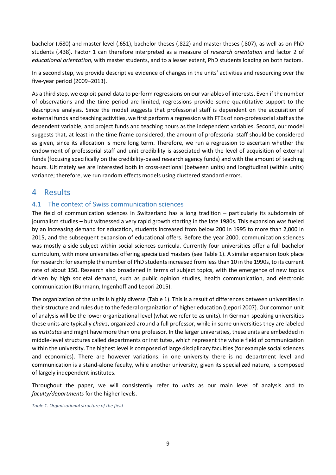bachelor (.680) and master level (.651), bachelor theses (.822) and master theses (.807), as well as on PhD students (.438). Factor 1 can therefore interpreted as a measure of *research orientation* and factor 2 of *educational orientation,* with master students, and to a lesser extent, PhD students loading on both factors.

In a second step, we provide descriptive evidence of changes in the units' activities and resourcing over the five-year period (2009–2013).

As a third step, we exploit panel data to perform regressions on our variables of interests. Even if the number of observations and the time period are limited, regressions provide some quantitative support to the descriptive analysis. Since the model suggests that professorial staff is dependent on the acquisition of external funds and teaching activities, we first perform a regression with FTEs of non-professorial staff as the dependent variable, and project funds and teaching hours as the independent variables. Second, our model suggests that, at least in the time frame considered, the amount of professorial staff should be considered as given, since its allocation is more long term. Therefore, we run a regression to ascertain whether the endowment of professorial staff and unit credibility is associated with the level of acquisition of external funds (focusing specifically on the credibility-based research agency funds) and with the amount of teaching hours. Ultimately we are interested both in cross-sectional (between units) and longitudinal (within units) variance; therefore, we run random effects models using clustered standard errors.

## 4 Results

### 4.1 The context of Swiss communication sciences

The field of communication sciences in Switzerland has a long tradition – particularly its subdomain of journalism studies – but witnessed a very rapid growth starting in the late 1980s. This expansion was fueled by an increasing demand for education, students increased from below 200 in 1995 to more than 2,000 in 2015, and the subsequent expansion of educational offers. Before the year 2000, communication sciences was mostly a side subject within social sciences curricula. Currently four universities offer a full bachelor curriculum, with more universities offering specialized masters (see [Table 1\)](#page-8-0). A similar expansion took place for research: for example the number of PhD students increased from less than 10 in the 1990s, to its current rate of about 150. Research also broadened in terms of subject topics, with the emergence of new topics driven by high societal demand, such as public opinion studies, health communication, and electronic communication (Buhmann, Ingenhoff and Lepori 2015).

The organization of the units is highly diverse [\(Table 1\)](#page-8-0). This is a result of differences between universities in their structure and rules due to the federal organization of higher education (Lepori 2007). Our common unit of analysis will be the lower organizational level (what we refer to as units). In German-speaking universities these units are typically *chairs*, organized around a full professor, while in some universities they are labeled as *institutes* and might have more than one professor. In the larger universities, these units are embedded in middle-level structures called departments or institutes, which represent the whole field of communication within the university. The highest level is composed of large disciplinary faculties (for example social sciences and economics). There are however variations: in one university there is no department level and communication is a stand-alone faculty, while another university, given its specialized nature, is composed of largely independent institutes.

Throughout the paper, we will consistently refer to *units* as our main level of analysis and to *faculty/departments* for the higher levels.

<span id="page-8-0"></span>*Table 1. Organizational structure of the field*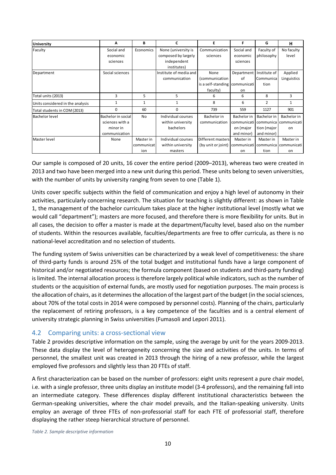| <b>University</b>                | A                  | B          | C                      | Ε                              | F           | G              | н                                     |
|----------------------------------|--------------------|------------|------------------------|--------------------------------|-------------|----------------|---------------------------------------|
| Faculty                          | Social and         | Economics  | None (university is    | Communication                  | Social and  | Faculty of     | No faculty                            |
|                                  | economic           |            | composed by largely    | sciences                       |             | philosophy     | level                                 |
|                                  | sciences           |            | independent            |                                | sciences    |                |                                       |
|                                  |                    |            | institutes)            |                                |             |                |                                       |
| Department                       | Social sciences    |            | Institute of media and | None                           | Department  | Institute of   | Applied                               |
|                                  |                    |            | communication          | (communication                 | οf          | Communica      | Linguistics                           |
|                                  |                    |            |                        | is a self-standing communicati |             | tion           |                                       |
|                                  |                    |            |                        | faculty)                       | on          |                |                                       |
| Total units (2013)               | 3                  | 5          | 5                      | 6                              | 6           | 8              | 3                                     |
| Units considered in the analysis |                    | 1          |                        | 8                              | 6           | $\overline{2}$ | 1                                     |
| Total students in COM (2013)     | $\Omega$           | 60         | $\Omega$               | 739                            | 559         | 1127           | 901                                   |
| Bachelor level                   | Bachelor in social | No         | Individual courses     | Bachelor in                    | Bachelor in | Bachelor in    | Bachelor in                           |
|                                  | sciences with a    |            | within university      | communication                  |             |                | communicati I communica I communicati |
|                                  | minor in           |            | bachelors              |                                | on (major   | tion (major    | on                                    |
|                                  | communication      |            |                        |                                | and minor)  | and minor)     |                                       |
| Master level                     | None               | Master in  | Individual courses     | Different masters              | Master in   | Master in      | Master in                             |
|                                  |                    | communicat | within university      | (by unit or joint)             |             |                | communicati communica communicati     |
|                                  |                    | ion        | masters                |                                | on          | tion           | on                                    |

Our sample is composed of 20 units, 16 cover the entire period (2009–2013), whereas two were created in 2013 and two have been merged into a new unit during this period. These units belong to seven universities, with the number of units by university ranging from seven to one [\(Table 1\)](#page-8-0).

Units cover specific subjects within the field of communication and enjoy a high level of autonomy in their activities, particularly concerning research. The situation for teaching is slightly different: as shown in [Table](#page-8-0)  [1,](#page-8-0) the management of the bachelor curriculum takes place at the higher institutional level (mostly what we would call "department"); masters are more focused, and therefore there is more flexibility for units. But in all cases, the decision to offer a master is made at the department/faculty level, based also on the number of students. Within the resources available, faculties/departments are free to offer curricula, as there is no national-level accreditation and no selection of students.

The funding system of Swiss universities can be characterized by a weak level of competitiveness: the share of third-party funds is around 25% of the total budget and institutional funds have a large component of historical and/or negotiated resources; the formula component (based on students and third-party funding) is limited. The internal allocation process is therefore largely political while indicators, such as the number of students or the acquisition of external funds, are mostly used for negotiation purposes. The main process is the allocation of chairs, as it determines the allocation of the largest part of the budget (in the social sciences, about 70% of the total costs in 2014 were composed by personnel costs). Planning of the chairs, particularly the replacement of retiring professors, is a key competence of the faculties and is a central element of university strategic planning in Swiss universities (Fumasoli and Lepori 2011).

#### 4.2 Comparing units: a cross-sectional view

[Table 2](#page-9-0) provides descriptive information on the sample, using the average by unit for the years 2009-2013. These data display the level of heterogeneity concerning the size and activities of the units. In terms of personnel, the smallest unit was created in 2013 through the hiring of a new professor, while the largest employed five professors and slightly less than 20 FTEs of staff.

A first characterization can be based on the number of professors: eight units represent a pure chair model, i.e. with a single professor, three units display an institute model (3-4 professors), and the remaining fall into an intermediate category. These differences display different institutional characteristics between the German-speaking universities, where the chair model prevails, and the Italian-speaking university. Units employ an average of three FTEs of non-professorial staff for each FTE of professorial staff, therefore displaying the rather steep hierarchical structure of personnel.

<span id="page-9-0"></span>*Table 2. Sample descriptive information*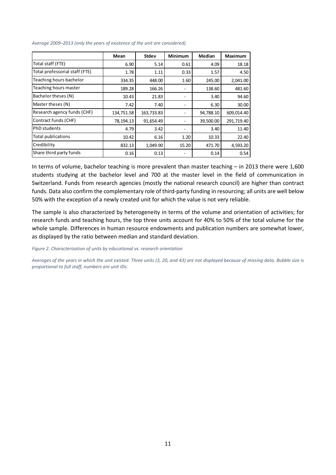|                                | Mean       | Stdev      | <b>Minimum</b> | Median    | <b>Maximum</b> |
|--------------------------------|------------|------------|----------------|-----------|----------------|
| Total staff (FTE)              | 6.90       | 5.14       | 0.61           | 4.09      | 18.18          |
| Total professorial staff (FTE) | 1.78       | 1.11       | 0.33           | 1.57      | 4.50           |
| Teaching hours bachelor        | 334.35     | 448.00     | 1.60           | 245.00    | 2,041.00       |
| Teaching hours master          | 189.28     | 166.26     |                | 138.60    | 481.60         |
| Bachelor theses (N)            | 10.43      | 21.83      | -              | 3.40      | 94.60          |
| Master theses (N)              | 7.42       | 7.40       | ٠              | 6.30      | 30.00          |
| Research agency funds (CHF)    | 134,751.58 | 163,733.83 |                | 94,788.10 | 609,014.40     |
| Contract funds (CHF)           | 78,194.13  | 91,654.49  |                | 39,500.00 | 291,719.40     |
| <b>PhD</b> students            | 4.79       | 3.42       |                | 3.40      | 11.40          |
| <b>Total publications</b>      | 10.42      | 6.16       | 1.20           | 10.33     | 22.40          |
| Credibility                    | 832.13     | 1,049.90   | 15.20          | 471.70    | 4,593.20       |
| Share third party funds        | 0.16       | 0.13       |                | 0.14      | 0.54           |

*Average 2009–2013 (only the years of existence of the unit are considered).*

In terms of volume, bachelor teaching is more prevalent than master teaching – in 2013 there were 1,600 students studying at the bachelor level and 700 at the master level in the field of communication in Switzerland. Funds from research agencies (mostly the national research council) are higher than contract funds. Data also confirm the complementary role of third-party funding in resourcing; all units are well below 50% with the exception of a newly created unit for which the value is not very reliable.

The sample is also characterized by heterogeneity in terms of the volume and orientation of activities; for research funds and teaching hours, the top three units account for 40% to 50% of the total volume for the whole sample. Differences in human resource endowments and publication numbers are somewhat lower, as displayed by the ratio between median and standard deviation.

<span id="page-10-0"></span>*Figure 2. Characterization of units by educational vs. research orientation*

*Averages of the years in which the unit existed. Three units (3, 20, and 43) are not displayed because of missing data. Bubble size is proportional to full staff, numbers are unit IDs.*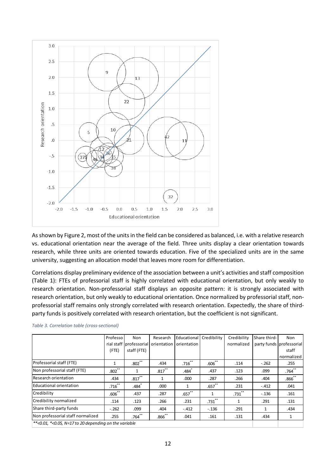

As shown by [Figure 2,](#page-10-0) most of the units in the field can be considered as balanced, i.e. with a relative research vs. educational orientation near the average of the field. Three units display a clear orientation towards research, while three units are oriented towards education. Five of the specialized units are in the same university, suggesting an allocation model that leaves more room for differentiation.

Correlations display preliminary evidence of the association between a unit's activities and staff composition [\(Table 1\)](#page-8-0): FTEs of professorial staff is highly correlated with educational orientation, but only weakly to research orientation. Non-professorial staff displays an opposite pattern: it is strongly associated with research orientation, but only weakly to educational orientation. Once normalized by professorial staff, nonprofessorial staff remains only strongly correlated with research orientation. Expectedly, the share of thirdparty funds is positively correlated with research orientation, but the coefficient is not significant.

|                                                               | Professo    | Non                                             | Research             | Educational Credibility |                         | Credibility | Share third- | Non                      |
|---------------------------------------------------------------|-------------|-------------------------------------------------|----------------------|-------------------------|-------------------------|-------------|--------------|--------------------------|
|                                                               |             | rial staff professorial orientation orientation |                      |                         |                         | normalized  |              | party funds professorial |
|                                                               | (FTE)       | staff (FTE)                                     |                      |                         |                         |             |              | staff                    |
|                                                               |             |                                                 |                      |                         |                         |             |              | normalized               |
| Professorial staff (FTE)                                      |             | **<br>.802 <sup>°</sup>                         | .434                 | .716                    | **<br>.606 <sup>2</sup> | .114        | $-.262$      | .255                     |
| Non professorial staff (FTE)                                  | $.802$ **   |                                                 | $.817$ <sup>**</sup> | .484                    | .437                    | .123        | .099         | $.764$ **                |
| Research orientation                                          | .434        | $.817$ **                                       |                      | .000                    | .287                    | .266        | .404         | $.866^{**}$              |
| Educational orientation                                       | $.716$ **   | $.484$ <sup>*</sup>                             | .000                 |                         | $.657$ **               | .231        | $-.412$      | .041                     |
| <b>Credibility</b>                                            | $.606^{**}$ | .437                                            | .287                 | .657                    | 1                       | $.731***$   | $-.136$      | .161                     |
| Credibility normalized                                        | .114        | .123                                            | .266                 | .231                    | $.731$ <sup>**</sup>    |             | .291         | .131                     |
| Share third-party funds                                       | $-.262$     | .099                                            | .404                 | $-.412$                 | $-.136$                 | .291        | 1            | .434                     |
| Non professorial staff normalized                             | .255        | $.764$ **                                       | $.866$ **            | .041                    | .161                    | .131        | .434         | 1                        |
| **< $0.01$ , *< $0.05$ , N=17 to 20 depending on the variable |             |                                                 |                      |                         |                         |             |              |                          |

<span id="page-11-0"></span>*Table 3. Correlation table (cross-sectional)*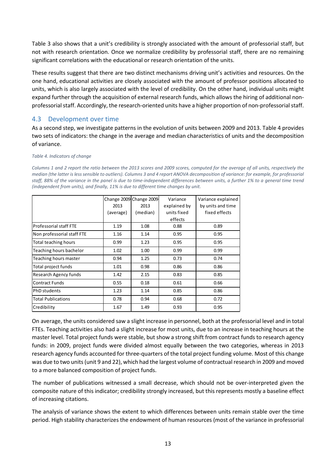[Table 3](#page-11-0) also shows that a unit's credibility is strongly associated with the amount of professorial staff, but not with research orientation. Once we normalize credibility by professorial staff, there are no remaining significant correlations with the educational or research orientation of the units.

These results suggest that there are two distinct mechanisms driving unit's activities and resources. On the one hand, educational activities are closely associated with the amount of professor positions allocated to units, which is also largely associated with the level of credibility. On the other hand, individual units might expand further through the acquisition of external research funds, which allows the hiring of additional nonprofessorial staff. Accordingly, the research-oriented units have a higher proportion of non-professorial staff.

#### 4.3 Development over time

As a second step, we investigate patterns in the evolution of units between 2009 and 2013. [Table 4](#page-12-0) provides two sets of indicators: the change in the average and median characteristics of units and the decomposition of variance.

#### <span id="page-12-0"></span>*Table 4. Indicators of change*

*Columns 1 and 2 report the ratio between the 2013 scores and 2009 scores, computed for the average of all units, respectively the median (the latter is less sensible to outliers). Columns 3 and 4 report ANOVA decomposition of variance: for example, for professorial staff, 88% of the variance in the panel is due to time-independent differences between units, a further 1% to a general time trend (independent from units), and finally, 11% is due to different time changes by unit.*

|                            |           | Change 2009 Change 2009 | Variance     | Variance explained |
|----------------------------|-----------|-------------------------|--------------|--------------------|
|                            | 2013      | 2013                    | explained by | by units and time  |
|                            | (average) | (median)                | units fixed  | fixed effects      |
|                            |           |                         | effects      |                    |
| Professorial staff FTE     | 1.19      | 1.08                    | 0.88         | 0.89               |
| Non professorial staff FTE | 1.16      | 1.14                    | 0.95         | 0.95               |
| Total teaching hours       | 0.99      | 1.23                    | 0.95         | 0.95               |
| Teaching hours bachelor    | 1.02      | 1.00                    | 0.99         | 0.99               |
| Teaching hours master      | 0.94      | 1.25                    | 0.73         | 0.74               |
| Total project funds        | 1.01      | 0.98                    | 0.86         | 0.86               |
| Research Agency funds      | 1.42      | 2.15                    | 0.83         | 0.85               |
| <b>Contract Funds</b>      | 0.55      | 0.18                    | 0.61         | 0.66               |
| PhD students               | 1.23      | 1.14                    | 0.85         | 0.86               |
| <b>Total Publications</b>  | 0.78      | 0.94                    | 0.68         | 0.72               |
| Credibility                | 1.67      | 1.49                    | 0.93         | 0.95               |

On average, the units considered saw a slight increase in personnel, both at the professorial level and in total FTEs. Teaching activities also had a slight increase for most units, due to an increase in teaching hours at the master level. Total project funds were stable, but show a strong shift from contract funds to research agency funds: in 2009, project funds were divided almost equally between the two categories, whereas in 2013 research agency funds accounted for three-quarters of the total project funding volume. Most of this change was due to two units (unit 9 and 22), which had the largest volume of contractual research in 2009 and moved to a more balanced composition of project funds.

The number of publications witnessed a small decrease, which should not be over-interpreted given the composite nature of this indicator; credibility strongly increased, but this represents mostly a baseline effect of increasing citations.

The analysis of variance shows the extent to which differences between units remain stable over the time period. High stability characterizes the endowment of human resources (most of the variance in professorial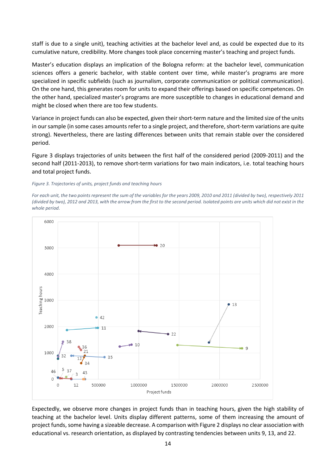staff is due to a single unit), teaching activities at the bachelor level and, as could be expected due to its cumulative nature, credibility. More changes took place concerning master's teaching and project funds.

Master's education displays an implication of the Bologna reform: at the bachelor level, communication sciences offers a generic bachelor, with stable content over time, while master's programs are more specialized in specific subfields (such as journalism, corporate communication or political communication). On the one hand, this generates room for units to expand their offerings based on specific competences. On the other hand, specialized master's programs are more susceptible to changes in educational demand and might be closed when there are too few students.

Variance in project funds can also be expected, given their short-term nature and the limited size of the units in our sample (in some cases amounts refer to a single project, and therefore, short-term variations are quite strong). Nevertheless, there are lasting differences between units that remain stable over the considered period.

[Figure 3](#page-13-0) displays trajectories of units between the first half of the considered period (2009-2011) and the second half (2011-2013), to remove short-term variations for two main indicators, i.e. total teaching hours and total project funds.

#### <span id="page-13-0"></span>*Figure 3. Trajectories of units, project funds and teaching hours*

*For each unit, the two points represent the sum of the variables for the years 2009, 2010 and 2011 (divided by two), respectively 2011 (divided by two), 2012 and 2013, with the arrow from the first to the second period. Isolated points are units which did not exist in the whole period.*



Expectedly, we observe more changes in project funds than in teaching hours, given the high stability of teaching at the bachelor level. Units display different patterns, some of them increasing the amount of project funds, some having a sizeable decrease. A comparison wit[h Figure 2](#page-10-0) displays no clear association with educational vs. research orientation, as displayed by contrasting tendencies between units 9, 13, and 22.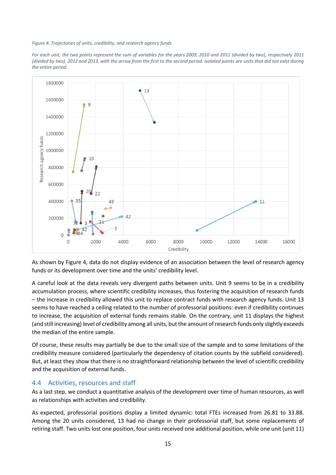<span id="page-14-0"></span>*Figure 4. Trajectories of units, credibility, and research agency funds*



*For each unit, the two points represent the sum of variables for the years 2009, 2010 and 2011 (divided by two), respectively 2011 (divided by two), 2012 and 2013, with the arrow from the first to the second period. Isolated points are units that did not exist during the entire period.*

As shown by [Figure 4,](#page-14-0) data do not display evidence of an association between the level of research agency funds or its development over time and the units' credibility level.

A careful look at the data reveals very divergent paths between units. Unit 9 seems to be in a credibility accumulation process, where scientific credibility increases, thus fostering the acquisition of research funds – the increase in credibility allowed this unit to replace contract funds with research agency funds. Unit 13 seems to have reached a ceiling related to the number of professorial positions: even if credibility continues to increase, the acquisition of external funds remains stable. On the contrary, unit 11 displays the highest (and still increasing) level of credibility among all units, but the amount of research funds only slightly exceeds the median of the entire sample.

Of course, these results may partially be due to the small size of the sample and to some limitations of the credibility measure considered (particularly the dependency of citation counts by the subfield considered). But, at least they show that there is no straightforward relationship between the level of scientific credibility and the acquisition of external funds.

#### 4.4 Activities, resources and staff

As a last step, we conduct a quantitative analysis of the development over time of human resources, as well as relationships with activities and credibility.

As expected, professorial positions display a limited dynamic: total FTEs increased from 26.81 to 33.88. Among the 20 units considered, 13 had no change in their professorial staff, but some replacements of retiring staff. Two units lost one position, four units received one additional position, while one unit (unit 11)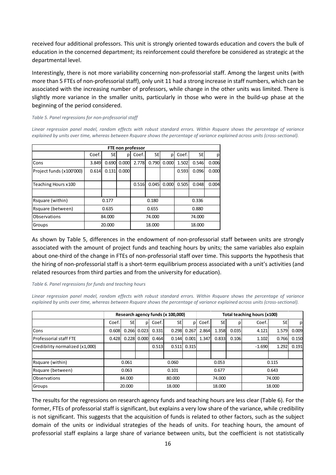received four additional professors. This unit is strongly oriented towards education and covers the bulk of education in the concerned department; its reinforcement could therefore be considered as strategic at the departmental level.

Interestingly, there is not more variability concerning non-professorial staff. Among the largest units (with more than 5 FTEs of non-professorial staff), only unit 11 had a strong increase in staff numbers, which can be associated with the increasing number of professors, while change in the other units was limited. There is slightly more variance in the smaller units, particularly in those who were in the build-up phase at the beginning of the period considered.

#### <span id="page-15-0"></span>*Table 5. Panel regressions for non-professorial staff*

*Linear regression panel model, random effects with robust standard errors. Within Rsquare shows the percentage of variance explained by units over time, whereas between Rsquare shows the percentage of variance explained across units (cross-sectional).*

| FTE non professor        |        |        |        |       |           |        |       |            |       |  |  |
|--------------------------|--------|--------|--------|-------|-----------|--------|-------|------------|-------|--|--|
|                          | Coef.  | SE     | р      | Coef. | <b>SE</b> | р      | Coef. | <b>SEI</b> | р     |  |  |
| Cons                     | 3.849  | 0.690  | 0.000  | 2.778 | 0.790     | 0.000  | 1.502 | 0.546      | 0.006 |  |  |
| Project funds (x100'000) | 0.614  | 0.131  | 0.000  |       |           |        | 0.593 | 0.096      | 0.000 |  |  |
| Teaching Hours x100      |        |        |        | 0.516 | 0.045     | 0.000  | 0.505 | 0.048      | 0.004 |  |  |
|                          |        |        |        |       |           |        |       |            |       |  |  |
| Rsquare (within)         | 0.177  |        | 0.180  |       |           | 0.336  |       |            |       |  |  |
| Rsquare (between)        | 0.635  |        | 0.655  |       |           | 0.880  |       |            |       |  |  |
| <b>Observations</b>      | 84.000 |        | 74.000 |       |           | 74.000 |       |            |       |  |  |
| Groups                   |        | 20.000 |        |       | 18.000    |        |       | 18.000     |       |  |  |

As shown by [Table 5,](#page-15-0) differences in the endowment of non-professorial staff between units are strongly associated with the amount of project funds and teaching hours by units; the same variables also explain about one-third of the change in FTEs of non-professorial staff over time. This supports the hypothesis that the hiring of non-professorial staff is a short-term equilibrium process associated with a unit's activities (and related resources from third parties and from the university for education).

#### <span id="page-15-1"></span>*Table 6. Panel regressions for funds and teaching hours*

*Linear regression panel model, random effects with robust standard errors. Within Rsquare shows the percentage of variance explained by units over time, whereas between Rsquare shows the percentage of variance explained across units (cross-sectional).*

|                                 | Research agency funds (x 100,000) |                  |                 |       |           |                 | Total teaching hours (x100) |           |        |          |       |       |
|---------------------------------|-----------------------------------|------------------|-----------------|-------|-----------|-----------------|-----------------------------|-----------|--------|----------|-------|-------|
|                                 | Coef.                             | SEI              | $\mathsf{D}$    | Coef. | <b>SE</b> | р               | Coef.                       | <b>SE</b> | р      | Coef.    | SE    | p     |
| Cons                            | 0.608                             |                  | $0.266$ 0.023   | 0.331 |           | $0.298$ 0.267   | 2.864                       | 1.358     | 0.035  | 4.121    | 1.579 | 0.009 |
| <b>Professorial staff FTE</b>   | 0.428                             |                  | $0.228$ $0.000$ | 0.464 | 0.144     | 0.001           | 1.347                       | 0.833     | 0.106  | 1.102    | 0.766 | 0.150 |
| Credibility normalized (x1,000) |                                   |                  |                 | 0.513 |           | $0.511$ $0.315$ |                             |           |        | $-1.690$ | 1.292 | 0.191 |
|                                 |                                   |                  |                 |       |           |                 |                             |           |        |          |       |       |
| Rsquare (within)                |                                   | 0.061            |                 | 0.060 |           |                 | 0.053                       |           |        | 0.115    |       |       |
| Rsquare (between)               |                                   | 0.063            |                 | 0.101 |           |                 | 0.677                       |           | 0.643  |          |       |       |
| <b>Observations</b>             |                                   | 84.000           |                 |       | 80.000    |                 | 74.000                      |           |        | 74.000   |       |       |
| Groups                          |                                   | 20.000<br>18.000 |                 |       |           | 18.000          |                             |           | 18.000 |          |       |       |

The results for the regressions on research agency funds and teaching hours are less clear [\(Table 6\)](#page-15-1). For the former, FTEs of professorial staff is significant, but explains a very low share of the variance, while credibility is not significant. This suggests that the acquisition of funds is related to other factors, such as the subject domain of the units or individual strategies of the heads of units. For teaching hours, the amount of professorial staff explains a large share of variance between units, but the coefficient is not statistically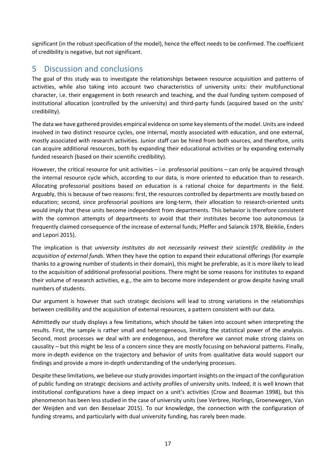significant (in the robust specification of the model), hence the effect needs to be confirmed. The coefficient of credibility is negative, but not significant.

# 5 Discussion and conclusions

The goal of this study was to investigate the relationships between resource acquisition and patterns of activities, while also taking into account two characteristics of university units: their multifunctional character, i.e. their engagement in both research and teaching, and the dual funding system composed of institutional allocation (controlled by the university) and third-party funds (acquired based on the units' credibility).

The data we have gathered provides empirical evidence on some key elements of the model. Units are indeed involved in two distinct resource cycles, one internal, mostly associated with education, and one external, mostly associated with research activities. Junior staff can be hired from both sources, and therefore, units can acquire additional resources, both by expanding their educational activities or by expanding externally funded research (based on their scientific credibility).

However, the critical resource for unit activities – i.e. professorial positions – can only be acquired through the internal resource cycle which, according to our data, is more oriented to education than to research. Allocating professorial positions based on education is a rational choice for departments in the field. Arguably, this is because of two reasons: first, the resources controlled by departments are mostly based on education; second, since professorial positions are long-term, their allocation to research-oriented units would imply that these units become independent from departments. This behavior is therefore consistent with the common attempts of departments to avoid that their institutes become too autonomous (a frequently claimed consequence of the increase of external funds; Pfeffer and Salancik 1978, Bleiklie, Enders and Lepori 2015).

The implication is that *university institutes do not necessarily reinvest their scientific credibility in the acquisition of external funds*. When they have the option to expand their educational offerings (for example thanks to a growing number of students in their domain), this might be preferable, as it is more likely to lead to the acquisition of additional professorial positions. There might be some reasons for institutes to expand their volume of research activities, e.g., the aim to become more independent or grow despite having small numbers of students.

Our argument is however that such strategic decisions will lead to strong variations in the relationships between credibility and the acquisition of external resources, a pattern consistent with our data.

Admittedly our study displays a few limitations, which should be taken into account when interpreting the results. First, the sample is rather small and heterogeneous, limiting the statistical power of the analysis. Second, most processes we deal with are endogenous, and therefore we cannot make strong claims on causality – but this might be less of a concern since they are mostly focusing on behavioral patterns. Finally, more in-depth evidence on the trajectory and behavior of units from qualitative data would support our findings and provide a more in-depth understanding of the underlying processes.

Despite these limitations, we believe our study provides important insights on the impact of the configuration of public funding on strategic decisions and activity profiles of university units. Indeed, it is well known that institutional configurations have a deep impact on a unit's activities (Crow and Bozeman 1998), but this phenomenon has been less studied in the case of university units (see Verbree, Horlings, Groenewegen, Van der Weijden and van den Besselaar 2015). To our knowledge, the connection with the configuration of funding streams, and particularly with dual university funding, has rarely been made.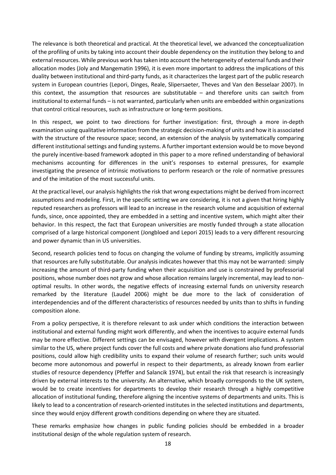The relevance is both theoretical and practical. At the theoretical level, we advanced the conceptualization of the profiling of units by taking into account their double dependency on the institution they belong to and external resources. While previous work has taken into account the heterogeneity of external funds and their allocation modes (Joly and Mangematin 1996), it is even more important to address the implications of this duality between institutional and third-party funds, as it characterizes the largest part of the public research system in European countries (Lepori, Dinges, Reale, Slipersaeter, Theves and Van den Besselaar 2007). In this context, the assumption that resources are substitutable – and therefore units can switch from institutional to external funds – is not warranted, particularly when units are embedded within organizations that control critical resources, such as infrastructure or long-term positions.

In this respect, we point to two directions for further investigation: first, through a more in-depth examination using qualitative information from the strategic decision-making of units and how it is associated with the structure of the resource space; second, an extension of the analysis by systematically comparing different institutional settings and funding systems. A further important extension would be to move beyond the purely incentive-based framework adopted in this paper to a more refined understanding of behavioral mechanisms accounting for differences in the unit's responses to external pressures, for example investigating the presence of intrinsic motivations to perform research or the role of normative pressures and of the imitation of the most successful units.

At the practical level, our analysis highlights the risk that wrong expectations might be derived from incorrect assumptions and modeling. First, in the specific setting we are considering, it is not a given that hiring highly reputed researchers as professors will lead to an increase in the research volume and acquisition of external funds, since, once appointed, they are embedded in a setting and incentive system, which might alter their behavior. In this respect, the fact that European universities are mostly funded through a state allocation comprised of a large historical component (Jongbloed and Lepori 2015) leads to a very different resourcing and power dynamic than in US universities.

Second, research policies tend to focus on changing the volume of funding by streams, implicitly assuming that resources are fully substitutable. Our analysis indicates however that this may not be warranted: simply increasing the amount of third-party funding when their acquisition and use is constrained by professorial positions, whose number does not grow and whose allocation remains largely incremental, may lead to nonoptimal results. In other words, the negative effects of increasing external funds on university research remarked by the literature (Laudel 2006) might be due more to the lack of consideration of interdependencies and of the different characteristics of resources needed by units than to shifts in funding composition alone.

From a policy perspective, it is therefore relevant to ask under which conditions the interaction between institutional and external funding might work differently, and when the incentives to acquire external funds may be more effective. Different settings can be envisaged, however with divergent implications. A system similar to the US, where project funds cover the full costs and where private donations also fund professorial positions, could allow high credibility units to expand their volume of research further; such units would become more autonomous and powerful in respect to their departments, as already known from earlier studies of resource dependency (Pfeffer and Salancik 1974), but entail the risk that research is increasingly driven by external interests to the university. An alternative, which broadly corresponds to the UK system, would be to create incentives for departments to develop their research through a highly competitive allocation of institutional funding, therefore aligning the incentive systems of departments and units. This is likely to lead to a concentration of research-oriented institutes in the selected institutions and departments, since they would enjoy different growth conditions depending on where they are situated.

These remarks emphasize how changes in public funding policies should be embedded in a broader institutional design of the whole regulation system of research.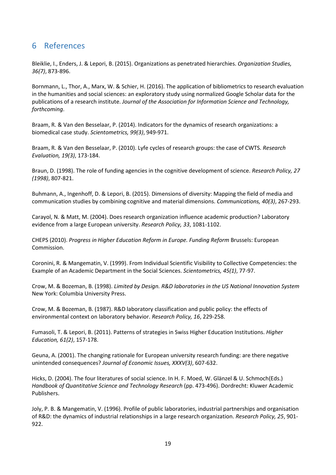# 6 References

Bleiklie, I., Enders, J. & Lepori, B. (2015). Organizations as penetrated hierarchies. *Organization Studies, 36(7)*, 873-896.

Bornmann, L., Thor, A., Marx, W. & Schier, H. (2016). The application of bibliometrics to research evaluation in the humanities and social sciences: an exploratory study using normalized Google Scholar data for the publications of a research institute. *Journal of the Association for Information Science and Technology, forthcoming*.

Braam, R. & Van den Besselaar, P. (2014). Indicators for the dynamics of research organizations: a biomedical case study. *Scientometrics, 99(3)*, 949-971.

Braam, R. & Van den Besselaar, P. (2010). Lyfe cycles of research groups: the case of CWTS. *Research Evaluation, 19(3)*, 173-184.

Braun, D. (1998). The role of funding agencies in the cognitive development of science. *Research Policy, 27 (1998)*, 807-821.

Buhmann, A., Ingenhoff, D. & Lepori, B. (2015). Dimensions of diversity: Mapping the field of media and communication studies by combining cognitive and material dimensions. *Communications, 40(3)*, 267-293.

Carayol, N. & Matt, M. (2004). Does research organization influence academic production? Laboratory evidence from a large European university. *Research Policy, 33*, 1081-1102.

CHEPS (2010). *Progress in Higher Education Reform in Europe. Funding Reform* Brussels: European Commission.

Coronini, R. & Mangematin, V. (1999). From Individual Scientific Visibility to Collective Competencies: the Example of an Academic Department in the Social Sciences. *Scientometrics, 45(1)*, 77-97.

Crow, M. & Bozeman, B. (1998). *Limited by Design. R&D laboratories in the US National Innovation System*  New York: Columbia University Press.

Crow, M. & Bozeman, B. (1987). R&D laboratory classification and public policy: the effects of environmental context on laboratory behavior. *Research Policy, 16*, 229-258.

Fumasoli, T. & Lepori, B. (2011). Patterns of strategies in Swiss Higher Education Institutions. *Higher Education, 61(2)*, 157-178.

Geuna, A. (2001). The changing rationale for European university research funding: are there negative unintended consequences? *Journal of Economic Issues, XXXV(3)*, 607-632.

Hicks, D. (2004). The four literatures of social science. In H. F. Moed, W. Glänzel & U. Schmoch(Eds.) *Handbook of Quantitative Science and Technology Research* (pp. 473-496). Dordrecht: Kluwer Academic Publishers.

Joly, P. B. & Mangematin, V. (1996). Profile of public laboratories, industrial partnerships and organisation of R&D: the dynamics of industrial relationships in a large research organization. *Research Policy, 25*, 901- 922.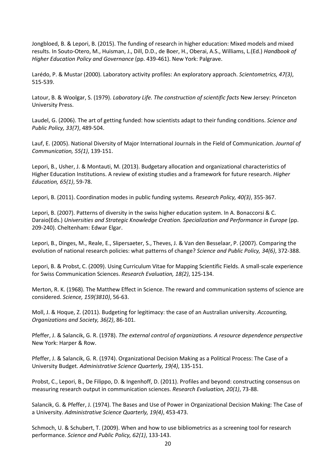Jongbloed, B. & Lepori, B. (2015). The funding of research in higher education: Mixed models and mixed results. In Souto-Otero, M., Huisman, J., Dill, D.D., de Boer, H., Oberai, A.S., Williams, L.(Ed.) *Handbook of Higher Education Policy and Governance* (pp. 439-461). New York: Palgrave.

Larédo, P. & Mustar (2000). Laboratory activity profiles: An exploratory approach. *Scientometrics, 47(3)*, 515-539.

Latour, B. & Woolgar, S. (1979). *Laboratory Life. The construction of scientific facts* New Jersey: Princeton University Press.

Laudel, G. (2006). The art of getting funded: how scientists adapt to their funding conditions. *Science and Public Policy, 33(7)*, 489-504.

Lauf, E. (2005). National Diversity of Major International Journals in the Field of Communication. *Journal of Communication, 55(1)*, 139-151.

Lepori, B., Usher, J. & Montauti, M. (2013). Budgetary allocation and organizational characteristics of Higher Education Institutions. A review of existing studies and a framework for future research. *Higher Education, 65(1)*, 59-78.

Lepori, B. (2011). Coordination modes in public funding systems. *Research Policy, 40(3)*, 355-367.

Lepori, B. (2007). Patterns of diversity in the swiss higher education system. In A. Bonaccorsi & C. Daraio(Eds.) *Universities and Strategic Knowledge Creation. Specialization and Performance in Europe* (pp. 209-240). Cheltenham: Edwar Elgar.

Lepori, B., Dinges, M., Reale, E., Slipersaeter, S., Theves, J. & Van den Besselaar, P. (2007). Comparing the evolution of national research policies: what patterns of change? *Science and Public Policy, 34(6)*, 372-388.

Lepori, B. & Probst, C. (2009). Using Curriculum Vitae for Mapping Scientific Fields. A small-scale experience for Swiss Communication Sciences. *Research Evaluation, 18(2)*, 125-134.

Merton, R. K. (1968). The Matthew Effect in Science. The reward and communication systems of science are considered. *Science, 159(3810)*, 56-63.

Moll, J. & Hoque, Z. (2011). Budgeting for legitimacy: the case of an Australian university. *Accounting, Organizations and Society, 36(2)*, 86-101.

Pfeffer, J. & Salancik, G. R. (1978). *The external control of organizations. A resource dependence perspective*  New York: Harper & Row.

Pfeffer, J. & Salancik, G. R. (1974). Organizational Decision Making as a Political Process: The Case of a University Budget. *Administrative Science Quarterly, 19(4)*, 135-151.

Probst, C., Lepori, B., De Filippo, D. & Ingenhoff, D. (2011). Profiles and beyond: constructing consensus on measuring research output in communication sciences. *Research Evaluation, 20(1)*, 73-88.

Salancik, G. & Pfeffer, J. (1974). The Bases and Use of Power in Organizational Decision Making: The Case of a University. *Administrative Science Quarterly, 19(4)*, 453-473.

Schmoch, U. & Schubert, T. (2009). When and how to use bibliometrics as a screening tool for research performance. *Science and Public Policy, 62(1)*, 133-143.